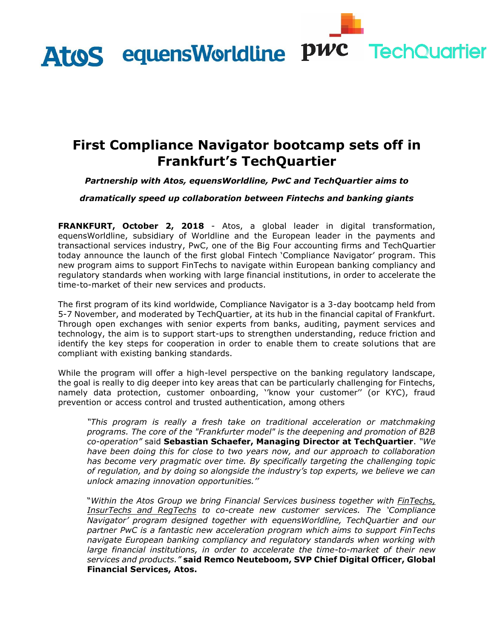

# **First Compliance Navigator bootcamp sets off in Frankfurt's TechQuartier**

*Partnership with Atos, equensWorldline, PwC and TechQuartier aims to* 

# *dramatically speed up collaboration between Fintechs and banking giants*

**FRANKFURT, October 2, 2018** - Atos, a global leader in digital transformation, equensWorldline, subsidiary of Worldline and the European leader in the payments and transactional services industry, PwC, one of the Big Four accounting firms and TechQuartier today announce the launch of the first global Fintech 'Compliance Navigator' program. This new program aims to support FinTechs to navigate within European banking compliancy and regulatory standards when working with large financial institutions, in order to accelerate the time-to-market of their new services and products.

The first program of its kind worldwide, Compliance Navigator is a 3-day bootcamp held from 5-7 November, and moderated by TechQuartier, at its hub in the financial capital of Frankfurt. Through open exchanges with senior experts from banks, auditing, payment services and technology, the aim is to support start-ups to strengthen understanding, reduce friction and identify the key steps for cooperation in order to enable them to create solutions that are compliant with existing banking standards.

While the program will offer a high-level perspective on the banking regulatory landscape, the goal is really to dig deeper into key areas that can be particularly challenging for Fintechs, namely data protection, customer onboarding, ''know your customer'' (or KYC), fraud prevention or access control and trusted authentication, among others

*"This program is really a fresh take on traditional acceleration or matchmaking programs. The core of the "Frankfurter model" is the deepening and promotion of B2B co-operation"* said **Sebastian Schaefer, Managing Director at TechQuartier**. *"We have been doing this for close to two years now, and our approach to collaboration has become very pragmatic over time. By specifically targeting the challenging topic of regulation, and by doing so alongside the industry's top experts, we believe we can unlock amazing innovation opportunities.''*

"*Within the Atos Group we bring Financial Services business together with [FinTechs,](http://www.atos.net/fintech)  [InsurTechs and RegTechs](http://www.atos.net/fintech) to co-create new customer services. The 'Compliance Navigator' program designed together with equensWorldline, TechQuartier and our partner PwC is a fantastic new acceleration program which aims to support FinTechs navigate European banking compliancy and regulatory standards when working with large financial institutions, in order to accelerate the time-to-market of their new services and products."* **said Remco Neuteboom, SVP Chief Digital Officer, Global Financial Services, Atos.**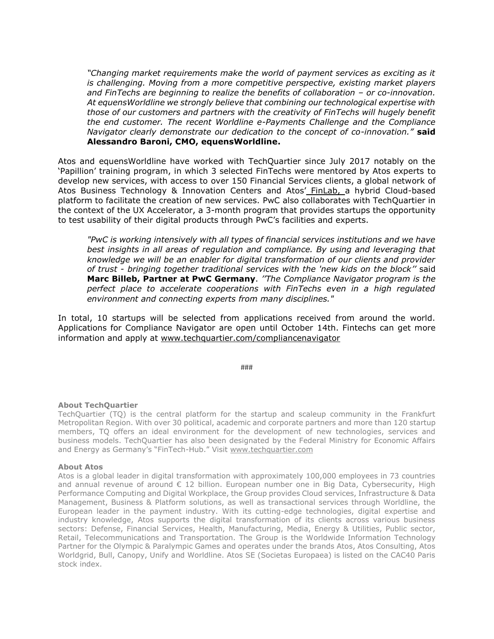*"Changing market requirements make the world of payment services as exciting as it is challenging. Moving from a more competitive perspective, existing market players and FinTechs are beginning to realize the benefits of collaboration – or co-innovation. At equensWorldline we strongly believe that combining our technological expertise with those of our customers and partners with the creativity of FinTechs will hugely benefit the end customer. The recent Worldline e-Payments Challenge and the Compliance Navigator clearly demonstrate our dedication to the concept of co-innovation."* **said Alessandro Baroni, CMO, equensWorldline.**

Atos and equensWorldline have worked with TechQuartier since July 2017 notably on the 'Papillion' training program, in which 3 selected FinTechs were mentored by Atos experts to develop new services, with access to over 150 Financial Services clients, a global network of Atos Business Technology & Innovation Centers and Atos' [FinLab,](https://atos.net/fintech/home/finlab) a hybrid Cloud-based platform to facilitate the creation of new services. PwC also collaborates with TechQuartier in the context of the UX Accelerator, a 3-month program that provides startups the opportunity to test usability of their digital products through PwC's facilities and experts.

*"PwC is working intensively with all types of financial services institutions and we have best insights in all areas of regulation and compliance. By using and leveraging that knowledge we will be an enabler for digital transformation of our clients and provider of trust - bringing together traditional services with the 'new kids on the block''* said **Marc Billeb, Partner at PwC Germany**. *''The Compliance Navigator program is the perfect place to accelerate cooperations with FinTechs even in a high regulated environment and connecting experts from many disciplines."*

In total, 10 startups will be selected from applications received from around the world. Applications for Compliance Navigator are open until October 14th. Fintechs can get more information and apply at [www.techquartier.com/compliancenavigator](http://www.techquartier.com/compliancenavigator)

###

# **About TechQuartier**

TechQuartier (TQ) is the central platform for the startup and scaleup community in the Frankfurt Metropolitan Region. With over 30 political, academic and corporate partners and more than 120 startup members, TQ offers an ideal environment for the development of new technologies, services and business models. TechQuartier has also been designated by the Federal Ministry for Economic Affairs and Energy as Germany's "FinTech-Hub." Visit [www.techquartier.com](http://www.techquartier.com/)

# **About Atos**

Atos is a global leader in digital transformation with approximately 100,000 employees in 73 countries and annual revenue of around € 12 billion. European number one in Big Data, Cybersecurity, High Performance Computing and Digital Workplace, the Group provides Cloud services, Infrastructure & Data Management, Business & Platform solutions, as well as transactional services through Worldline, the European leader in the payment industry. With its cutting-edge technologies, digital expertise and industry knowledge, Atos supports the digital transformation of its clients across various business sectors: Defense, Financial Services, Health, Manufacturing, Media, Energy & Utilities, Public sector, Retail, Telecommunications and Transportation. The Group is the Worldwide Information Technology Partner for the Olympic & Paralympic Games and operates under the brands Atos, Atos Consulting, Atos Worldgrid, Bull, Canopy, Unify and Worldline. Atos SE (Societas Europaea) is listed on the CAC40 Paris stock index.